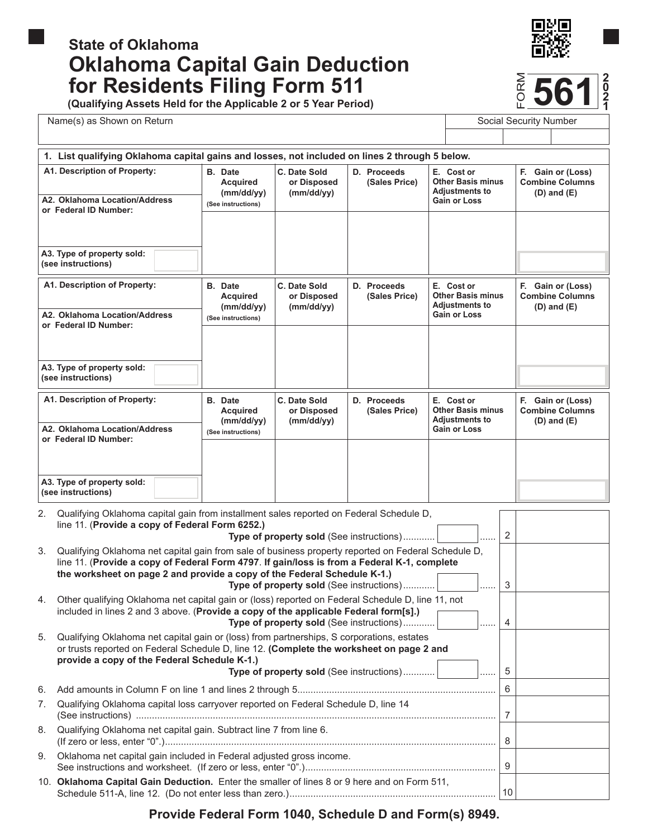# **Oklahoma Capital Gain Deduction**  for Residents Filing Form 511 **State of Oklahoma**



**ORM 561**

**(Qualifying Assets Held for the Applicable 2 or 5 Year Period)**

Name(s) as Shown on Return Number 3 and Social Security Number Social Security Number

|                                                                                               | 1. List qualifying Oklahoma capital gains and losses, not included on lines 2 through 5 below. |                                           |                              |                                                                                        |                                                                    |  |
|-----------------------------------------------------------------------------------------------|------------------------------------------------------------------------------------------------|-------------------------------------------|------------------------------|----------------------------------------------------------------------------------------|--------------------------------------------------------------------|--|
| A1. Description of Property:<br>A2. Oklahoma Location/Address<br>or Federal ID Number:        | <b>B.</b> Date<br><b>Acquired</b><br>(mm/dd/vv)<br>(See instructions)                          | C. Date Sold<br>or Disposed<br>(mm/dd/yy) | D. Proceeds<br>(Sales Price) | E. Cost or<br><b>Other Basis minus</b><br><b>Adjustments to</b><br>Gain or Loss        | F.,<br>Gain or (Loss)<br><b>Combine Columns</b><br>$(D)$ and $(E)$ |  |
| A3. Type of property sold:                                                                    |                                                                                                |                                           |                              |                                                                                        |                                                                    |  |
| (see instructions)                                                                            |                                                                                                |                                           |                              |                                                                                        |                                                                    |  |
| A1. Description of Property:<br>A2. Oklahoma Location/Address                                 | <b>B.</b> Date<br><b>Acquired</b><br>(mm/dd/yy)<br>(See instructions)                          | C. Date Sold<br>or Disposed<br>(mm/dd/yy) | D. Proceeds<br>(Sales Price) | E. Cost or<br><b>Other Basis minus</b><br><b>Adjustments to</b><br><b>Gain or Loss</b> | F. Gain or (Loss)<br><b>Combine Columns</b><br>$(D)$ and $(E)$     |  |
| or Federal ID Number:                                                                         |                                                                                                |                                           |                              |                                                                                        |                                                                    |  |
| A3. Type of property sold:<br>(see instructions)                                              |                                                                                                |                                           |                              |                                                                                        |                                                                    |  |
| A1. Description of Property:                                                                  | <b>B.</b> Date<br><b>Acquired</b><br>(mm/dd/yy)                                                | C. Date Sold<br>or Disposed<br>(mm/dd/yy) | D. Proceeds<br>(Sales Price) | E. Cost or<br><b>Other Basis minus</b><br><b>Adjustments to</b>                        | F. Gain or (Loss)<br><b>Combine Columns</b><br>$(D)$ and $(E)$     |  |
| A2. Oklahoma Location/Address<br>or Federal ID Number:                                        | (See instructions)                                                                             |                                           |                              | <b>Gain or Loss</b>                                                                    |                                                                    |  |
|                                                                                               |                                                                                                |                                           |                              |                                                                                        |                                                                    |  |
| A3. Type of property sold:<br>(see instructions)                                              |                                                                                                |                                           |                              |                                                                                        |                                                                    |  |
| Qualifying Oklahoma capital gain from installment sales reported on Federal Schedule D,<br>2. |                                                                                                |                                           |                              |                                                                                        |                                                                    |  |

|    | line 11. (Provide a copy of Federal Form 6252.)<br>Type of property sold (See instructions) <br>.                                                                                                                                                                                                                                       | 2              |  |
|----|-----------------------------------------------------------------------------------------------------------------------------------------------------------------------------------------------------------------------------------------------------------------------------------------------------------------------------------------|----------------|--|
| 3. | Qualifying Oklahoma net capital gain from sale of business property reported on Federal Schedule D,<br>line 11. (Provide a copy of Federal Form 4797. If gain/loss is from a Federal K-1, complete<br>the worksheet on page 2 and provide a copy of the Federal Schedule K-1.)<br><b>Type of property sold</b> (See instructions) <br>. | 3              |  |
| 4. | Other qualifying Oklahoma net capital gain or (loss) reported on Federal Schedule D, line 11, not<br>included in lines 2 and 3 above. (Provide a copy of the applicable Federal form[s].)<br>Type of property sold (See instructions) <br>$\overline{}$                                                                                 | $\overline{4}$ |  |
| 5. | Qualifying Oklahoma net capital gain or (loss) from partnerships, S corporations, estates<br>or trusts reported on Federal Schedule D, line 12. (Complete the worksheet on page 2 and<br>provide a copy of the Federal Schedule K-1.)<br>Type of property sold (See instructions)                                                       | 5              |  |
| 6. |                                                                                                                                                                                                                                                                                                                                         |                |  |
| 7. | Qualifying Oklahoma capital loss carryover reported on Federal Schedule D, line 14                                                                                                                                                                                                                                                      |                |  |
| 8. | Qualifying Oklahoma net capital gain. Subtract line 7 from line 6.                                                                                                                                                                                                                                                                      |                |  |
| 9. | Oklahoma net capital gain included in Federal adjusted gross income.                                                                                                                                                                                                                                                                    | $\mathbf{Q}$   |  |
|    | 10. Oklahoma Capital Gain Deduction. Enter the smaller of lines 8 or 9 here and on Form 511,                                                                                                                                                                                                                                            | 10             |  |

**Provide Federal Form 1040, Schedule D and Form(s) 8949.**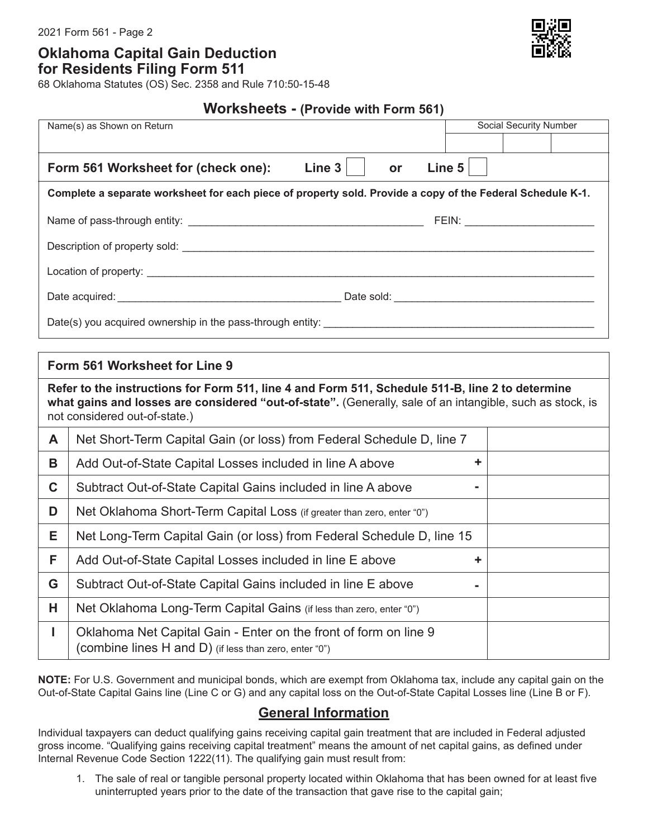2021 Form 561 - Page 2

**Oklahoma Capital Gain Deduction for Residents Filing Form 511**

68 Oklahoma Statutes (OS) Sec. 2358 and Rule 710:50-15-48

**Worksheets - (Provide with Form 561)**

|                                                                                                                                                                                                                                                | Social Security Number<br>Name(s) as Shown on Return                   |  |  |  |  |  |
|------------------------------------------------------------------------------------------------------------------------------------------------------------------------------------------------------------------------------------------------|------------------------------------------------------------------------|--|--|--|--|--|
|                                                                                                                                                                                                                                                |                                                                        |  |  |  |  |  |
|                                                                                                                                                                                                                                                |                                                                        |  |  |  |  |  |
|                                                                                                                                                                                                                                                | Line $3$<br>Line 5<br>Form 561 Worksheet for (check one):<br><b>or</b> |  |  |  |  |  |
| Complete a separate worksheet for each piece of property sold. Provide a copy of the Federal Schedule K-1.                                                                                                                                     |                                                                        |  |  |  |  |  |
|                                                                                                                                                                                                                                                |                                                                        |  |  |  |  |  |
|                                                                                                                                                                                                                                                |                                                                        |  |  |  |  |  |
|                                                                                                                                                                                                                                                |                                                                        |  |  |  |  |  |
|                                                                                                                                                                                                                                                |                                                                        |  |  |  |  |  |
|                                                                                                                                                                                                                                                |                                                                        |  |  |  |  |  |
|                                                                                                                                                                                                                                                |                                                                        |  |  |  |  |  |
| Form 561 Worksheet for Line 9                                                                                                                                                                                                                  |                                                                        |  |  |  |  |  |
| Refer to the instructions for Form 511, line 4 and Form 511, Schedule 511-B, line 2 to determine<br>what gains and losses are considered "out-of-state". (Generally, sale of an intangible, such as stock, is<br>not considered out-of-state.) |                                                                        |  |  |  |  |  |
| A                                                                                                                                                                                                                                              | Net Short-Term Capital Gain (or loss) from Federal Schedule D, line 7  |  |  |  |  |  |
| B                                                                                                                                                                                                                                              | ÷<br>Add Out-of-State Capital Losses included in line A above          |  |  |  |  |  |
| $\mathbf C$                                                                                                                                                                                                                                    | Subtract Out-of-State Capital Gains included in line A above           |  |  |  |  |  |

| ັ  | <u>Udbliact Out-Of-Oldic Odpildi Odilis iliciuded ili ilile A diove</u>                                                    |  |
|----|----------------------------------------------------------------------------------------------------------------------------|--|
| D  | Net Oklahoma Short-Term Capital Loss (if greater than zero, enter "0")                                                     |  |
| E. | Net Long-Term Capital Gain (or loss) from Federal Schedule D, line 15                                                      |  |
| F. | Add Out-of-State Capital Losses included in line E above                                                                   |  |
| G  | Subtract Out-of-State Capital Gains included in line E above                                                               |  |
| H  | Net Oklahoma Long-Term Capital Gains (if less than zero, enter "0")                                                        |  |
|    | Oklahoma Net Capital Gain - Enter on the front of form on line 9<br>(combine lines H and D) (if less than zero, enter "0") |  |

**NOTE:** For U.S. Government and municipal bonds, which are exempt from Oklahoma tax, include any capital gain on the Out-of-State Capital Gains line (Line C or G) and any capital loss on the Out-of-State Capital Losses line (Line B or F).

## **General Information**

Individual taxpayers can deduct qualifying gains receiving capital gain treatment that are included in Federal adjusted gross income. "Qualifying gains receiving capital treatment" means the amount of net capital gains, as defined under Internal Revenue Code Section 1222(11). The qualifying gain must result from:

1. The sale of real or tangible personal property located within Oklahoma that has been owned for at least five uninterrupted years prior to the date of the transaction that gave rise to the capital gain;